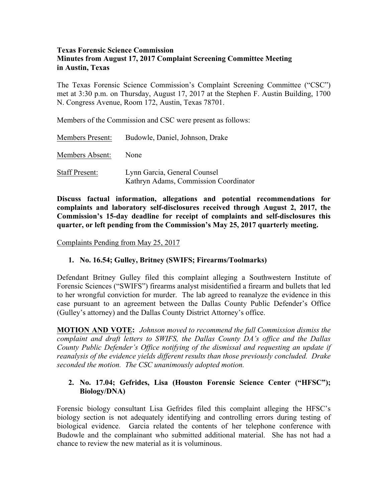#### **Texas Forensic Science Commission Minutes from August 17, 2017 Complaint Screening Committee Meeting in Austin, Texas**

The Texas Forensic Science Commission's Complaint Screening Committee ("CSC") met at 3:30 p.m. on Thursday, August 17, 2017 at the Stephen F. Austin Building, 1700 N. Congress Avenue, Room 172, Austin, Texas 78701.

Members of the Commission and CSC were present as follows:

| <b>Members Present:</b> | Budowle, Daniel, Johnson, Drake                                       |
|-------------------------|-----------------------------------------------------------------------|
| Members Absent:         | None                                                                  |
| <b>Staff Present:</b>   | Lynn Garcia, General Counsel<br>Kathryn Adams, Commission Coordinator |

**Discuss factual information, allegations and potential recommendations for complaints and laboratory self-disclosures received through August 2, 2017, the Commission's 15-day deadline for receipt of complaints and self-disclosures this quarter, or left pending from the Commission's May 25, 2017 quarterly meeting.**

Complaints Pending from May 25, 2017

### **1. No. 16.54; Gulley, Britney (SWIFS; Firearms/Toolmarks)**

Defendant Britney Gulley filed this complaint alleging a Southwestern Institute of Forensic Sciences ("SWIFS") firearms analyst misidentified a firearm and bullets that led to her wrongful conviction for murder. The lab agreed to reanalyze the evidence in this case pursuant to an agreement between the Dallas County Public Defender's Office (Gulley's attorney) and the Dallas County District Attorney's office.

**MOTION AND VOTE:** *Johnson moved to recommend the full Commission dismiss the complaint and draft letters to SWIFS, the Dallas County DA's office and the Dallas County Public Defender's Office notifying of the dismissal and requesting an update if reanalysis of the evidence yields different results than those previously concluded. Drake seconded the motion. The CSC unanimously adopted motion.*

### **2. No. 17.04; Gefrides, Lisa (Houston Forensic Science Center ("HFSC"); Biology/DNA)**

Forensic biology consultant Lisa Gefrides filed this complaint alleging the HFSC's biology section is not adequately identifying and controlling errors during testing of biological evidence. Garcia related the contents of her telephone conference with Budowle and the complainant who submitted additional material. She has not had a chance to review the new material as it is voluminous.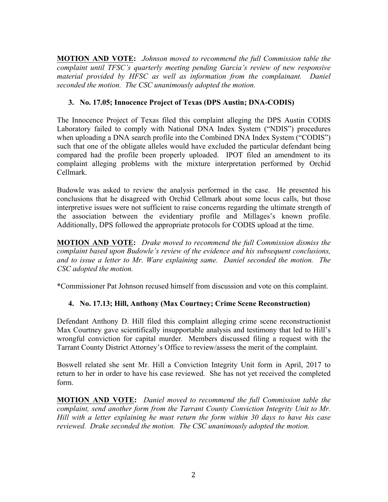**MOTION AND VOTE:** *Johnson moved to recommend the full Commission table the complaint until TFSC's quarterly meeting pending Garcia's review of new responsive material provided by HFSC as well as information from the complainant. Daniel seconded the motion. The CSC unanimously adopted the motion.*

## **3. No. 17.05; Innocence Project of Texas (DPS Austin; DNA-CODIS)**

The Innocence Project of Texas filed this complaint alleging the DPS Austin CODIS Laboratory failed to comply with National DNA Index System ("NDIS") procedures when uploading a DNA search profile into the Combined DNA Index System ("CODIS") such that one of the obligate alleles would have excluded the particular defendant being compared had the profile been properly uploaded. IPOT filed an amendment to its complaint alleging problems with the mixture interpretation performed by Orchid Cellmark.

Budowle was asked to review the analysis performed in the case. He presented his conclusions that he disagreed with Orchid Cellmark about some locus calls, but those interpretive issues were not sufficient to raise concerns regarding the ultimate strength of the association between the evidentiary profile and Millages's known profile. Additionally, DPS followed the appropriate protocols for CODIS upload at the time.

**MOTION AND VOTE:** *Drake moved to recommend the full Commission dismiss the complaint based upon Budowle's review of the evidence and his subsequent conclusions, and to issue a letter to Mr. Ware explaining same. Daniel seconded the motion. The CSC adopted the motion.*

\*Commissioner Pat Johnson recused himself from discussion and vote on this complaint.

## **4. No. 17.13; Hill, Anthony (Max Courtney; Crime Scene Reconstruction)**

Defendant Anthony D. Hill filed this complaint alleging crime scene reconstructionist Max Courtney gave scientifically insupportable analysis and testimony that led to Hill's wrongful conviction for capital murder*.* Members discussed filing a request with the Tarrant County District Attorney's Office to review/assess the merit of the complaint.

Boswell related she sent Mr. Hill a Conviction Integrity Unit form in April, 2017 to return to her in order to have his case reviewed. She has not yet received the completed form.

**MOTION AND VOTE:** *Daniel moved to recommend the full Commission table the complaint, send another form from the Tarrant County Conviction Integrity Unit to Mr. Hill with a letter explaining he must return the form within 30 days to have his case reviewed. Drake seconded the motion. The CSC unanimously adopted the motion.*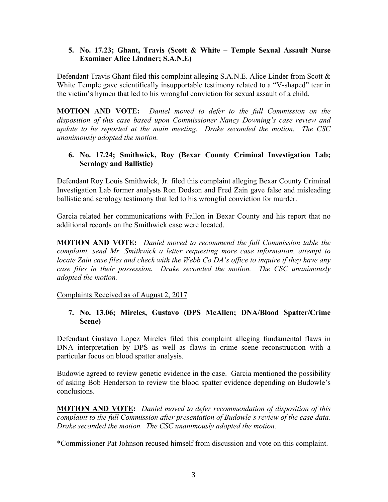#### **5. No. 17.23; Ghant, Travis (Scott & White – Temple Sexual Assault Nurse Examiner Alice Lindner; S.A.N.E)**

Defendant Travis Ghant filed this complaint alleging  $S.A.N.E.$  Alice Linder from Scott  $\&$ White Temple gave scientifically insupportable testimony related to a "V-shaped" tear in the victim's hymen that led to his wrongful conviction for sexual assault of a child.

**MOTION AND VOTE:** *Daniel moved to defer to the full Commission on the disposition of this case based upon Commissioner Nancy Downing's case review and update to be reported at the main meeting. Drake seconded the motion. The CSC unanimously adopted the motion.* 

### **6. No. 17.24; Smithwick, Roy (Bexar County Criminal Investigation Lab; Serology and Ballistic)**

Defendant Roy Louis Smithwick, Jr. filed this complaint alleging Bexar County Criminal Investigation Lab former analysts Ron Dodson and Fred Zain gave false and misleading ballistic and serology testimony that led to his wrongful conviction for murder.

Garcia related her communications with Fallon in Bexar County and his report that no additional records on the Smithwick case were located.

**MOTION AND VOTE:** *Daniel moved to recommend the full Commission table the complaint, send Mr. Smithwick a letter requesting more case information, attempt to locate Zain case files and check with the Webb Co DA's office to inquire if they have any case files in their possession. Drake seconded the motion. The CSC unanimously adopted the motion.*

Complaints Received as of August 2, 2017

### **7. No. 13.06; Mireles, Gustavo (DPS McAllen; DNA/Blood Spatter/Crime Scene)**

Defendant Gustavo Lopez Mireles filed this complaint alleging fundamental flaws in DNA interpretation by DPS as well as flaws in crime scene reconstruction with a particular focus on blood spatter analysis.

Budowle agreed to review genetic evidence in the case. Garcia mentioned the possibility of asking Bob Henderson to review the blood spatter evidence depending on Budowle's conclusions.

**MOTION AND VOTE:** *Daniel moved to defer recommendation of disposition of this complaint to the full Commission after presentation of Budowle's review of the case data. Drake seconded the motion. The CSC unanimously adopted the motion.*

\*Commissioner Pat Johnson recused himself from discussion and vote on this complaint.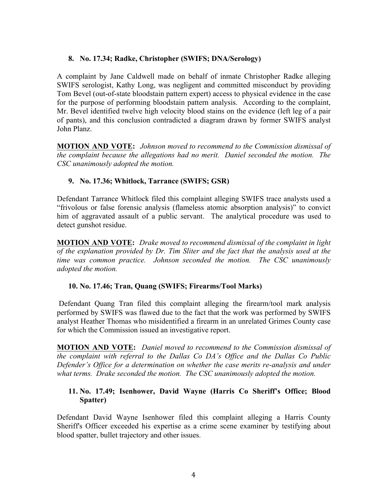### **8. No. 17.34; Radke, Christopher (SWIFS; DNA/Serology)**

A complaint by Jane Caldwell made on behalf of inmate Christopher Radke alleging SWIFS serologist, Kathy Long, was negligent and committed misconduct by providing Tom Bevel (out-of-state bloodstain pattern expert) access to physical evidence in the case for the purpose of performing bloodstain pattern analysis. According to the complaint, Mr. Bevel identified twelve high velocity blood stains on the evidence (left leg of a pair of pants), and this conclusion contradicted a diagram drawn by former SWIFS analyst John Planz.

**MOTION AND VOTE:** *Johnson moved to recommend to the Commission dismissal of the complaint because the allegations had no merit. Daniel seconded the motion. The CSC unanimously adopted the motion.*

## **9. No. 17.36; Whitlock, Tarrance (SWIFS; GSR)**

Defendant Tarrance Whitlock filed this complaint alleging SWIFS trace analysts used a "frivolous or false forensic analysis (flameless atomic absorption analysis)" to convict him of aggravated assault of a public servant. The analytical procedure was used to detect gunshot residue.

**MOTION AND VOTE:** *Drake moved to recommend dismissal of the complaint in light of the explanation provided by Dr. Tim Sliter and the fact that the analysis used at the time was common practice. Johnson seconded the motion. The CSC unanimously adopted the motion.*

### **10. No. 17.46; Tran, Quang (SWIFS; Firearms/Tool Marks)**

Defendant Quang Tran filed this complaint alleging the firearm/tool mark analysis performed by SWIFS was flawed due to the fact that the work was performed by SWIFS analyst Heather Thomas who misidentified a firearm in an unrelated Grimes County case for which the Commission issued an investigative report.

**MOTION AND VOTE:** *Daniel moved to recommend to the Commission dismissal of the complaint with referral to the Dallas Co DA's Office and the Dallas Co Public Defender's Office for a determination on whether the case merits re-analysis and under what terms. Drake seconded the motion. The CSC unanimously adopted the motion.*

## **11. No. 17.49; Isenhower, David Wayne (Harris Co Sheriff's Office; Blood Spatter)**

Defendant David Wayne Isenhower filed this complaint alleging a Harris County Sheriff's Officer exceeded his expertise as a crime scene examiner by testifying about blood spatter, bullet trajectory and other issues.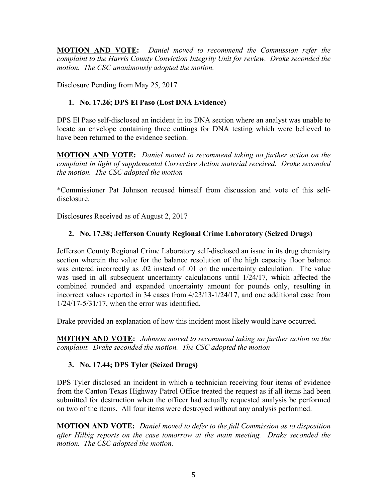**MOTION AND VOTE:** *Daniel moved to recommend the Commission refer the complaint to the Harris County Conviction Integrity Unit for review. Drake seconded the motion. The CSC unanimously adopted the motion.*

Disclosure Pending from May 25, 2017

## **1. No. 17.26; DPS El Paso (Lost DNA Evidence)**

DPS El Paso self-disclosed an incident in its DNA section where an analyst was unable to locate an envelope containing three cuttings for DNA testing which were believed to have been returned to the evidence section.

**MOTION AND VOTE:** *Daniel moved to recommend taking no further action on the complaint in light of supplemental Corrective Action material received. Drake seconded the motion. The CSC adopted the motion*

\*Commissioner Pat Johnson recused himself from discussion and vote of this selfdisclosure.

Disclosures Received as of August 2, 2017

# **2. No. 17.38; Jefferson County Regional Crime Laboratory (Seized Drugs)**

Jefferson County Regional Crime Laboratory self-disclosed an issue in its drug chemistry section wherein the value for the balance resolution of the high capacity floor balance was entered incorrectly as .02 instead of .01 on the uncertainty calculation. The value was used in all subsequent uncertainty calculations until 1/24/17, which affected the combined rounded and expanded uncertainty amount for pounds only, resulting in incorrect values reported in 34 cases from 4/23/13-1/24/17, and one additional case from  $1/24/17-5/31/17$ , when the error was identified.

Drake provided an explanation of how this incident most likely would have occurred.

**MOTION AND VOTE:** *Johnson moved to recommend taking no further action on the complaint. Drake seconded the motion. The CSC adopted the motion*

## **3. No. 17.44; DPS Tyler (Seized Drugs)**

DPS Tyler disclosed an incident in which a technician receiving four items of evidence from the Canton Texas Highway Patrol Office treated the request as if all items had been submitted for destruction when the officer had actually requested analysis be performed on two of the items. All four items were destroyed without any analysis performed.

**MOTION AND VOTE:** *Daniel moved to defer to the full Commission as to disposition after Hilbig reports on the case tomorrow at the main meeting. Drake seconded the motion. The CSC adopted the motion.*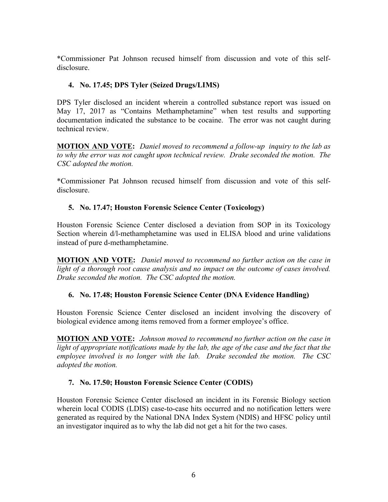\*Commissioner Pat Johnson recused himself from discussion and vote of this selfdisclosure.

## **4. No. 17.45; DPS Tyler (Seized Drugs/LIMS)**

DPS Tyler disclosed an incident wherein a controlled substance report was issued on May 17, 2017 as "Contains Methamphetamine" when test results and supporting documentation indicated the substance to be cocaine. The error was not caught during technical review.

**MOTION AND VOTE:** *Daniel moved to recommend a follow-up inquiry to the lab as to why the error was not caught upon technical review. Drake seconded the motion. The CSC adopted the motion.*

\*Commissioner Pat Johnson recused himself from discussion and vote of this selfdisclosure.

## **5. No. 17.47; Houston Forensic Science Center (Toxicology)**

Houston Forensic Science Center disclosed a deviation from SOP in its Toxicology Section wherein d/l-methamphetamine was used in ELISA blood and urine validations instead of pure d-methamphetamine.

**MOTION AND VOTE:** *Daniel moved to recommend no further action on the case in light of a thorough root cause analysis and no impact on the outcome of cases involved. Drake seconded the motion. The CSC adopted the motion.*

### **6. No. 17.48; Houston Forensic Science Center (DNA Evidence Handling)**

Houston Forensic Science Center disclosed an incident involving the discovery of biological evidence among items removed from a former employee's office.

**MOTION AND VOTE:** *Johnson moved to recommend no further action on the case in*  light of appropriate notifications made by the lab, the age of the case and the fact that the *employee involved is no longer with the lab. Drake seconded the motion. The CSC adopted the motion.*

### **7. No. 17.50; Houston Forensic Science Center (CODIS)**

Houston Forensic Science Center disclosed an incident in its Forensic Biology section wherein local CODIS (LDIS) case-to-case hits occurred and no notification letters were generated as required by the National DNA Index System (NDIS) and HFSC policy until an investigator inquired as to why the lab did not get a hit for the two cases.